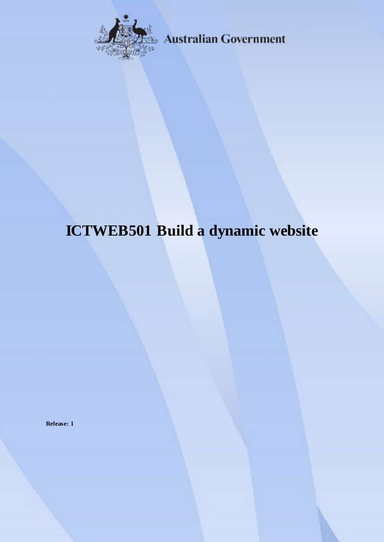

**Australian Government** 

# **ICTWEB501 Build a dynamic website**

**Release: 1**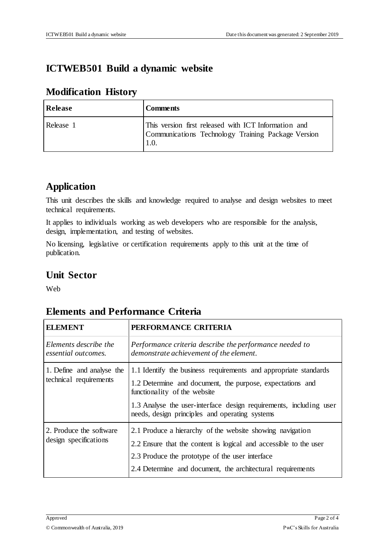### **ICTWEB501 Build a dynamic website**

#### **Modification History**

| Release   | <b>Comments</b>                                                                                                   |
|-----------|-------------------------------------------------------------------------------------------------------------------|
| Release 1 | This version first released with ICT Information and<br>Communications Technology Training Package Version<br>1.0 |

## **Application**

This unit describes the skills and knowledge required to analyse and design websites to meet technical requirements.

It applies to individuals working as web developers who are responsible for the analysis, design, implementation, and testing of websites.

No licensing, legislative or certification requirements apply to this unit at the time of publication.

### **Unit Sector**

Web

#### **Elements and Performance Criteria**

| <b>ELEMENT</b>                                      | PERFORMANCE CRITERIA                                                                                                                                                                                                                                                                  |  |
|-----------------------------------------------------|---------------------------------------------------------------------------------------------------------------------------------------------------------------------------------------------------------------------------------------------------------------------------------------|--|
| Elements describe the<br>essential outcomes.        | Performance criteria describe the performance needed to<br>demonstrate achievement of the element.                                                                                                                                                                                    |  |
| 1. Define and analyse the<br>technical requirements | 1.1 Identify the business requirements and appropriate standards<br>1.2 Determine and document, the purpose, expectations and<br>functionality of the website<br>1.3 Analyse the user-interface design requirements, including user<br>needs, design principles and operating systems |  |
| 2. Produce the software<br>design specifications    | 2.1 Produce a hierarchy of the website showing navigation<br>2.2 Ensure that the content is logical and accessible to the user<br>2.3 Produce the prototype of the user interface<br>2.4 Determine and document, the architectural requirements                                       |  |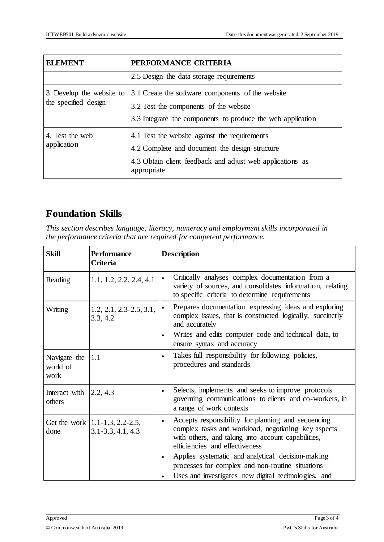| <b>ELEMENT</b>                                    | PERFORMANCE CRITERIA                                                                                                                                                        |  |  |
|---------------------------------------------------|-----------------------------------------------------------------------------------------------------------------------------------------------------------------------------|--|--|
|                                                   | 2.5 Design the data storage requirements                                                                                                                                    |  |  |
| 3. Develop the website to<br>the specified design | 3.1 Create the software components of the website<br>3.2 Test the components of the website<br>3.3 Integrate the components to produce the web application                  |  |  |
| 4. Test the web<br>application                    | 4.1 Test the website against the requirements<br>4.2 Complete and document the design structure<br>4.3 Obtain client feedback and adjust web applications as<br>appropriate |  |  |

## **Foundation Skills**

*This section describes language, literacy, numeracy and employment skills incorporated in the performance criteria that are required for competent performance.*

| <b>Skill</b>                     | <b>Performance</b><br><b>Criteria</b>                      | <b>Description</b>                                                                                                                                                                                                                                                                                                                                                                                       |  |
|----------------------------------|------------------------------------------------------------|----------------------------------------------------------------------------------------------------------------------------------------------------------------------------------------------------------------------------------------------------------------------------------------------------------------------------------------------------------------------------------------------------------|--|
| Reading                          | 1.1, 1.2, 2.2, 2.4, 4.1                                    | Critically analyses complex documentation from a<br>$\bullet$<br>variety of sources, and consolidates information, relating<br>to specific criteria to determine requirements                                                                                                                                                                                                                            |  |
| Writing                          | $1.2, 2.1, 2.3 - 2.5, 3.1,$<br>3.3, 4.2                    | Prepares documentation expressing ideas and exploring<br>complex issues, that is constructed logically, succinctly<br>and accurately<br>Writes and edits computer code and technical data, to<br>$\bullet$<br>ensure syntax and accuracy                                                                                                                                                                 |  |
| Navigate the<br>world of<br>work | 1.1                                                        | Takes full responsibility for following policies,<br>$\bullet$<br>procedures and standards                                                                                                                                                                                                                                                                                                               |  |
| Interact with<br>others          | 2.2, 4.3                                                   | Selects, implements and seeks to improve protocols<br>$\bullet$<br>governing communications to clients and co-workers, in<br>a range of work contexts                                                                                                                                                                                                                                                    |  |
| done                             | Get the work $ 1.1-1.3, 2.2-2.5,$<br>$3.1 - 3.3, 4.1, 4.3$ | Accepts responsibility for planning and sequencing<br>$\bullet$<br>complex tasks and workload, negotiating key aspects<br>with others, and taking into account capabilities,<br>efficiencies and effectiveness<br>Applies systematic and analytical decision-making<br>$\bullet$<br>processes for complex and non-routine situations<br>Uses and investigates new digital technologies, and<br>$\bullet$ |  |